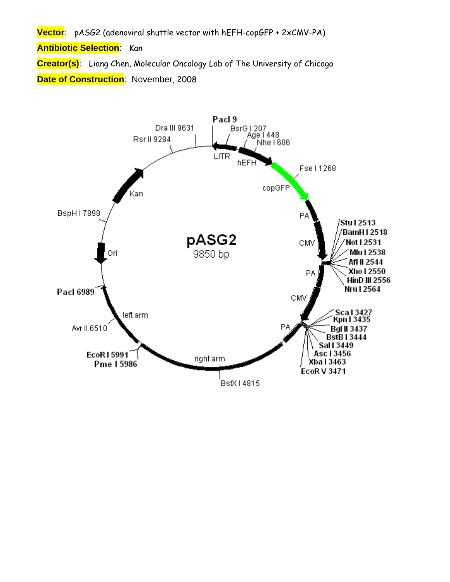**Vector**: pASG2 (adenoviral shuttle vector with hEFH-copGFP + 2xCMV-PA)

**Antibiotic Selection**: Kan

**Creator(s)**: Liang Chen, Molecular Oncology Lab of The University of Chicago **Date of Construction**: November, 2008

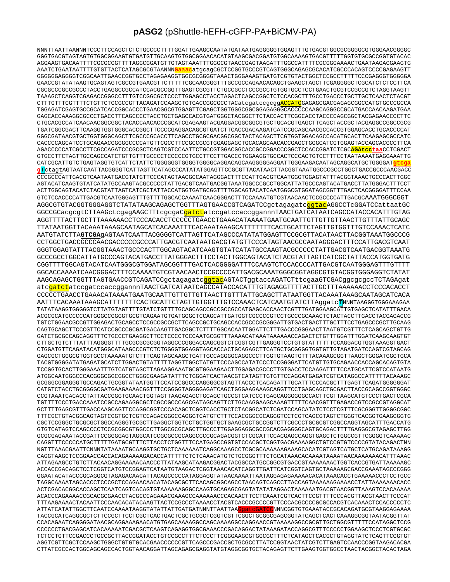## **pASG2** (pShuttle-hEFH-cGFP-PA+BiCMV-PA)

NNNTTAATTAANNNTCCCTTCCAGCTCTCTGCCCCTTTTGGATTGAAGCCAATATGATAATGAGGGGGTGGAGTTTGTGACGTGGCGCGGGGCGTGGGAACGGGGC GGGTGACGTAGTAGTGTGGCGGAAGTGTGATGTTGCAAGTGTGGCGGAACACATGTAAGCGACGGATGTGGCAAAAGTGACGTTTTTGGTGTGCGCCGGTGTACAC AGGAAGTGACAATTTTCGCGCGGTTTTAGGCGGATGTTGTAGTAAATTTGGGCGTAACCGAGTAAGATTTGGCCATTTTCGCGGGAAAACTGAATAAGAGGAAGTG AAATCTGAATAATTTTGTGTTACTCATAGCGCGTAANNN**G**aaacatgcagCGCTCCGGTGCCCGTCAGTGGGCAGAGCGCACATCGCCCACAGTCCCCGAGAAGTT GGGGGGAGGGGTCGGCAATTGAACCGGTGCCTAGAGAAGGTGGCGCGGGGTAAACTGGGAAAGTGATGTCGTGTACTGGCTCCGCCTTTTTCCCGAGGGTGGGGGA GAACCGTATATAAGTGCAGTAGTCGCCGTGAACGTTCTTTTTCGCAACGGGTTTGCCGCCAGAACACAGCTGAAGCTAGCTTCGAGGGGCTCGCATCTCTCCTTCA CGCGCCCGCCGCCCTACCTGAGGCCGCCATCCACGCCGGTTGAGTCGCGTTCTGCCGCCTCCCGCCTGTGGTGCCTCCTGAACTGCGTCCGCCGTCTAGGTAAGTT TAAAGCTCAGGTCGAGACCGGGCCTTTGTCCGGCGCTCCCTTGGAGCCTACCTAGACTCAGCCGGCTCTCCACGCTTTGCCTGACCCTGCTTGCTCAACTCTACGT CTTTGTTTCGTTTTCTGTTCTGCGCCGTTACAGATCCAAGCTGTGACCGGCGCCTACatcgatccgcggACCATGGAGAGCGACGAGAGCGGCCATGTGCCCGCCA TGGAGATCGAGTGCCGCATCACCGGCACCCTGAACGGCGTGGAGTTCGAGCTGGTGGGCGGCGGAGAGGGCACCCCCAAGCAGGGCCGCATGACCAACAAGATGAA GAGCACCAAAGGCGCCCTGACCTTCAGCCCCTACCTGCTGAGCCACGTGATGGGCTACGGCTTCTACCACTTCGGCACCTACCCCAGCGGCTACGAGAACCCCTTC CTGCACGCCATCAACAACGGCGGCTACACCAACACCCGCATCGAGAAGTACGAGGACGGCGGCGTGCTGCACGTGAGCTTCAGCTACCGCTACGAGGCCGGCCGCG TGATCGGCGACTTCAAGGTGGTGGGCACCGGCTTCCCCGAGGACAGCGTGATCTTCACCGACAAGATCATCCGCAGCAACGCCACCGTGGAGCACCTGCACCCCAT GGGCGATAACGTGCTGGTGGGCAGCTTCGCCCGCACCTTCAGCCTGCGCGACGGCGGCTACTACAGCTTCGTGGTGGACAGCCACATGCACTTCAAGAGCGCCATC CACCCCAGCATCCTGCAGAACGGGGGCCCCATGTTCGCCTTCCGCCGCGTGGAGGAGCTGCACAGCAACACCGAGCTGGGCATCGTGGAGTACCAGCACGCCTTCA AGACCCCCATCGCCTTCGCCAGATCCCGCGCTCAGTCGTCCAATTCTGCCGTGGACGGCACCGCCGGACCCGGCTCCACCGGATCTCGC**AGAtcctaa**CCTCGACT GTGCCTTCTAGTTGCCAGCCATCTGTTGTTTGCCCCTCCCCCGTGCCTTCCTTGACCCTGGAAGGTGCCACTCCCACTGTCCTTTCCTAATAAAATGAGGAAATTG CATCGCATTGTCTGAGTAGGTGTCATTCTATTCTGGGGGGTGGGGTGGGGCAGGACAGCAAGGGGGAGGATTGGGAAGACAATAGCAGGCATGCTGGGGAT**gtcga g**TctagtAGTAATCAATTACGGGGTCATTAGTTCATAGCCCATATATGGAGTTCCGCGTTACATAACTTACGGTAAATGGCCCGCCTGGCTGACCGCCCAACGACC CCCGCCCATTGACGTCAATAATGACGTATGTTCCCATAGTAACGCCAATAGGGACTTTCCATTGACGTCAATGGGTGGAGTATTTACGGTAAACTGCCCACTTGGC AGTACATCAAGTGTATCATATGCCAAGTACGCCCCCTATTGACGTCAATGACGGTAAATGGCCCGCCTGGCATTATGCCCAGTACATGACCTTATGGGACTTTCCT ACTTGGCAGTACATCTACGTATTAGTCATCGCTATTACCATGGTGATGCGGTTTTGGCAGTACATCAATGGGCGTGGATAGCGGTTTGACTCACGGGGATTTCCAA GTCTCCACCCCATTGACGTCAATGGGAGTTTGTTTTGGCACCAAAATCAACGGGACTTTCCAAAATGTCGTAACAACTCCGCCCCATTGACGCAAATGGGCGGT AGGCGTGTACGGTGGGAGGTCTATATAAGCAGAGCTGGTTTAGTGAACCGTCAGATCCgctagagatcggtacAGGCCTcGGATCCattaatGC GGCCGCacgcgtCTTAAGctcgagAAGCTTtcgcgaCgatctatccgatccaccggannnTAACTGATCATAATCAGCCATACCACATTTGTAG AGGTTTTACTTGCTTTAAAAAACCTCCCACACCTCCCCCTGAACCTGAAACATAAAATGAATGCAATTGTTGTTGTTAACTTGTTTATTGCAGC TTATAATGGTTACAAATAAAGCAATAGCATCACAAATTTCACAAATAAAGCATTTTTTTCACTGCATTCTAGTTGTGGTTTGTCCAAACTCATC AATGTATCTTA**GTCGA**gAGTAATCAATTACGGGGTCATTAGTTCATAGCCCATATATGGAGTTCCGCGTTACATAACTTACGGTAAATGGCCCG CCTGGCTGACCGCCCAACGACCCCCGCCCATTGACGTCAATAATGACGTATGTTCCCATAGTAACGCCAATAGGGACTTTCCATTGACGTCAAT GGGTGGAGTATTTACGGTAAACTGCCCACTTGGCAGTACATCAAGTGTATCATATGCCAAGTACGCCCCCTATTGACGTCAATGACGGTAAATG GCCCGCCTGGCATTATGCCCAGTACATGACCTTATGGGACTTTCCTACTTGGCAGTACATCTACGTATTAGTCATCGCTATTACCATGGTGATG CGGTTTTGGCAGTACATCAATGGGCGTGGATAGCGGTTTGACTCACGGGGATTTCCAAGTCTCCACCCCATTGACGTCAATGGGAGTTTGTTTT GGCACCAAAATCAACGGGACTTTCCAAAATGTCGTAACAACTCCGCCCCATTGACGCAAATGGGCGGTAGGCGTGTACGGTGGGAGGTCTATAT AAGCAGAGCTGGTTTAGTGAACCGTCAGATCCgctagagatcggtacAGTACTggtaccAGATCTttcgaaGTCGACggcgcgccTCTAGAgat atcgatctatccgatccaccggannnTAACTGATCATAATCAGCCATACCACATTTGTAGAGGTTTTACTTGCTTTAAAAAACCTCCCACACCT CCCCCTGAACCTGAAACATAAAATGAATGCAATTGTTGTTGTTAACTTGTTTATTGCAGCTTATAATGGTTACAAATAAAGCAATAGCATCACA AATTTCACAAATAAAGCATTTTTTTCACTGCATTCTAGTTGTGGTTTGTCCAAACTCATCAATGTATCTTAggatcTNNNTAAGGGTGGGAAAGAA TATATAAGGTGGGGGTCTTATGTAGTTTTGTATCTGTTTTGCAGCAGCCGCCGCCGCCATGAGCACCAACTCGTTTGATGGAAGCATTGTGAGCTCATATTTGACA ACGCGCATGCCCCCATGGGCCGGGGTGCGTCAGAATGTGATGGGCTCCAGCATTGATGGTCGCCCCGTCCTGCCCGCAAACTCTACTACCTTGACCTACGAGACCG TGTCTGGAACGCCGTTGGAGACTGCAGCCTCCGCCGCCGCTTCAGCCGCTGCAGCCACCGCCCGCGGGATTGTGACTGACTTTGCTTTCCTGAGCCCGCTTGCAAG CAGTGCAGCTTCCCGTTCATCCGCCCGCGATGACAAGTTGACGGCTCTTTTGGCACAATTGGATTCTTTGACCCGGGAACTTAATGTCGTTTCTCAGCAGCTGTTG GATCTGCGCCAGCAGGTTTCTGCCCTGAAGGCTTCCTCCCCTCCCAATGCGGTTTAAAACATAAATAAAAAACCAGACTCTGTTTGGATTTGGATCAAGCAAGTGT CTTGCTGTCTTTATTTAGGGGTTTTGCGCGCGCGGTAGGCCCGGGACCAGCGGTCTCGGTCGTTGAGGGTCCTGTGTATTTTTTCCAGGACGTGGTAAAGGTGACT CTGGATGTTCAGATACATGGGCATAAGCCCGTCTCTGGGGTGGAGGTAGCACCACTGCAGAGCTTCATGCTGCGGGGTGGTGTTGTAGATGATCCAGTCGTAGCAG GAGCGCTGGGCGTGGTGCCTAAAAATGTCTTTCAGTAGCAAGCTGATTGCCAGGGGCAGGCCCTTGGTGTAAGTGTTTACAAAGCGGTTAAGCTGGGATGGGTGCA TACGTGGGGATATGAGATGCATCTTGGACTGTATTTTTAGGTTGGCTATGTTCCCAGCCATATCCCTCCGGGGATTCATGTTGTGCAGAACCACCAGCACAGTGTA TCCGGTGCACTTGGGAAATTTGTCATGTAGCTTAGAAGGAAATGCGTGGAAGAACTTGGAGACGCCCTTGTGACCTCCAAGATTTTCCATGCATTCGTCCATAATG ATGGCAATGGGCCCACGGGCGGCGGCCTGGGCGAAGATATTTCTGGGATCACTAACGTCATAGTTGTGTTCCAGGATGAGATCGTCATAGGCCATTTTTACAAAGC GCGGGCGGAGGGTGCCAGACTGCGGTATAATGGTTCCATCCGGCCCAGGGGCGTAGTTACCCTCACAGATTTGCATTTCCCACGCTTTGAGTTCAGATGGGGGGAT CATGTCTACCTGCGGGGCGATGAAGAAAACGGTTTCCGGGGTAGGGGAGATCAGCTGGGAAGAAAGCAGGTTCCTGAGCAGCTGCGACTTACCGCAGCCGGTGGGC CCGTAAATCACACCTATTACCGGGTGCAACTGGTAGTTAAGAGAGCTGCAGCTGCCGTCATCCCTGAGCAGGGGGGCCACTTCGTTAAGCATGTCCCTGACTCGCA TGTTTTCCCTGACCAAATCCGCCAGAAGGCGCTCGCCGCCCAGCGATAGCAGTTCTTGCAAGGAAGCAAAGTTTTTCAACGGTTTGAGACCGTCCGCCGTAGGCAT GCTTTTGAGCGTTTGACCAAGCAGTTCCAGGCGGTCCCACAGCTCGGTCACCTGCTCTACGGCATCTCGATCCAGCATATCTCCTCGTTTCGCGGGTTGGGGCGGC TTTCGCTGTACGGCAGTAGTCGGTGCTCGTCCAGACGGGCCAGGGTCATGTCTTTCCACGGGCGCAGGGTCCTCGTCAGCGTAGTCTGGGTCACGGTGAAGGGGTG CGCTCCGGGCTGCGCGCTGGCCAGGGTGCGCTTGAGGCTGGTCCTGCTGGTGCTGAAGCGCTGCCGGTCTTCGCCCTGCGCGTCGGCCAGGTAGCATTTGACCATG GTGTCATAGTCCAGCCCCTCCGCGGCGTGGCCCTTGGCGCGCAGCTTGCCCTTGGAGGAGGCGCCGCACGAGGGGCAGTGCAGACTTTTGAGGGCGTAGAGCTTGG GCGCGAGAAATACCGATTCCGGGGAGTAGGCATCCGCGCCGCAGGCCCCGCAGACGGTCTCGCATTCCACGAGCCAGGTGAGCTCTGGCCGTTCGGGGTCAAAAAC CAGGTTTCCCCCATGCTTTTTGATGCGTTTCTTACCTCTGGTTTCCATGAGCCGGTGTCCACGCTCGGTGACGAAAAGGCTGTCCGTGTCCCCGTATACAGACTNN NGTTTAAACGAATTCNNNTATAAAATGCAAGGTGCTGCTCAAAAAATCAGGCAAAGCCTCGCGCAAAAAAGAAAGCACATCGTAGTCATGCTCATGCAGATAAAGG CAGGTAAGCTCCGGAACCACCACAGAAAAAGACACCATTTTTCTCTCAAACATGTCTGCGGGTTTCTGCATAAACACAAAATAAAATAACAAAAAAACATTTAAAC ATTAGAAGCCTGTCTTACAACAGGAAAAACAACCCTTATAAGCATAAGACGGACTACGGCCATGCCGGCGTGACCGTAAAAAAACTGGTCACCGTGATTAAAAAGC ACCACCGACAGCTCCTCGGTCATGTCCGGAGTCATAATGTAAGACTCGGTAAACACATCAGGTTGATTCATCGGTCAGTGCTAAAAAGCGACCGAAATAGCCCGGG GGAATACATACCCGCAGGCGTAGAGACAACATTACAGCCCCCATAGGAGGTATAACAAAATTAATAGGAGAGAAAAACACATAAACACCTGAAAAACCCTCCTGCC TAGGCAAAATAGCACCCTCCCGCTCCAGAACAACATACAGCGCTTCACAGCGGCAGCCTAACAGTCAGCCTTACCAGTAAAAAAGAAAACCTATTAAAAAAACACC ACTCGACACGGCACCAGCTCAATCAGTCACAGTGTAAAAAAGGGCCAAGTGCAGAGCGAGTATATATAGGACTAAAAAATGACGTAACGGTTAAAGTCCACAAAAA ACACCCAGAAAACCGCACGCGAACCTACGCCCAGAAACGAAAGCCAAAAAACCCACAACTTCCTCAAATCGTCACTTCCGTTTTCCCACGTTACGTAACTTCCCAT TTTAAGAAAACTACAATTCCCAACACATACAAGTTACTCCGCCCTAAAACCTACGTCACCCGCCCCGTTCCCACGCCCCGCGCCACGTCACAAACTCCACCCCCTC ATTATCATATTGGCTTCAATCCAAAATAAGGTATATTATTGATGATNNNTTAATTAAGgatcGATCCNNNCGGTGTGAAATACCGCACAGATGCGTAAGGAGAAAA TACCGCATCAGGCGCTCTTCCGCTTCCTCGCTCACTGACTCGCTGCGCTCGGTCGTTCGGCTGCGGCGAGCGGTATCAGCTCACTCAAAGGCGGTAATACGGTTAT CCACAGAATCAGGGGATAACGCAGGAAAGAACATGTGAGCAAAAGGCCAGCAAAAGGCCAGGAACCGTAAAAAGGCCGCGTTGCTGGCGTTTTTCCATAGGCTCCG CCCCCCTGACGAGCATCACAAAAATCGACGCTCAAGTCAGAGGTGGCGAAACCCGACAGGACTATAAAGATACCAGGCGTTTCCCCCTGGAAGCTCCCTCGTGCGC TCTCCTGTTCCGACCCTGCCGCTTACCGGATACCTGTCCGCCTTTCTCCCTTCGGGAAGCGTGGCGCTTTCTCATAGCTCACGCTGTAGGTATCTCAGTTCGGTGT AGGTCGTTCGCTCCAAGCTGGGCTGTGTGCACGAACCCCCCGTTCAGCCCGACCGCTGCGCCTTATCCGGTAACTATCGTCTTGAGTCCAACCCGGTAAGACACGA CTTATCGCCACTGGCAGCAGCCACTGGTAACAGGATTAGCAGAGCGAGGTATGTAGGCGGTGCTACAGAGTTCTTGAAGTGGTGGCCTAACTACGGCTACACTAGA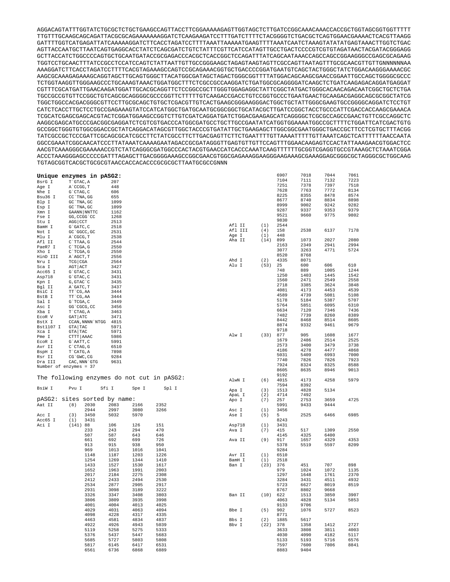AGGACAGTATTTGGTATCTGCGCTCTGCTGAAGCCAGTTACCTTCGGAAAAAGAGTTGGTAGCTCTTGATCCGGCAAACAAACCACCGCTGGTAGCGGTGGTTTTT TTGTTTGCAAGCAGCAGATTACGCGCAGAAAAAAAGGATCTCAAGAAGATCCTTTGATCTTTTCTACGGGGTCTGACGCTCAGTGGAACGAAAACTCACGTTAAGG GATTTTGGTCATGAGATTATCAAAAAGGATCTTCACCTAGATCCTTTTAAATTAAAAATGAAGTTTTAAATCAATCTAAAGTATATATGAGTAAACTTGGTCTGAC AGTTACCAATGCTTAATCAGTGAGGCACCTATCTCAGCGATCTGTCTATTTCGTTCATCCATAGTTGCCTGACTCCCCGTCGTGTAGATAACTACGATACGGGAGG GCTTACCATCTGGCCCCAGTGCTGCAATGATACCGCGAGACCCACGCTCACCGGCTCCAGATTTATCAGCAATAAACCAGCCAGCCGGAAGGGCCGAGCGCAGAAG TGGTCCTGCAACTTTATCCGCCTCCATCCAGTCTATTAATTGTTGCCGGGAAGCTAGAGTAAGTAGTTCGCCAGTTAATAGTTTGCGCAACGTTGTTGNNNNNNAA AAAGGATCTTCACCTAGATCCTTTTCACGTAGAAAGCCAGTCCGCAGAAACGGTGCTGACCCCGGATGAATGTCAGCTACTGGGCTATCTGGACAAGGGAAAACGC AAGCGCAAAGAGAAAGCAGGTAGCTTGCAGTGGGCTTACATGGCGATAGCTAGACTGGGCGGTTTTATGGACAGCAAGCGAACCGGAATTGCCAGCTGGGGCGCCC TCTGGTAAGGTTGGGAAGCCCTGCAAAGTAAACTGGATGGCTTTCTCGCCGCCAAGGATCTGATGGCGCAGGGGATCAAGCTCTGATCAAGAGACAGGATGAGGAT CGTTTCGCATGATTGAACAAGATGGATTGCACGCAGGTTCTCCGGCCGCTTGGGTGGAGAGGCTATTCGGCTATGACTGGGCACAACAGACAATCGGCTGCTCTGA TGCCGCCGTGTTCCGGCTGTCAGCGCAGGGGCGCCCGGTTCTTTTTGTCAAGACCGACCTGTCCGGTGCCCTGAATGAACTGCAAGACGAGGCAGCGCGGCTATCG TGGCTGGCCACGACGGGCGTTCCTTGCGCAGCTGTGCTCGACGTTGTCACTGAAGCGGGAAGGGACTGGCTGCTATTGGGCGAAGTGCCGGGGCAGGATCTCCTGT CATCTCACCTTGCTCCTGCCGAGAAAGTATCCATCATGGCTGATGCAATGCGGCGGCTGCATACGCTTGATCCGGCTACCTGCCCATTCGACCACCAAGCGAAACA TCGCATCGAGCGAGCACGTACTCGGATGGAAGCCGGTCTTGTCGATCAGGATGATCTGGACGAAGAGCATCAGGGGCTCGCGCCAGCCGAACTGTTCGCCAGGCTC AAGGCGAGCATGCCCGACGGCGAGGATCTCGTCGTGACCCATGGCGATGCCTGCTTGCCGAATATCATGGTGGAAAATGGCCGCTTTTCTGGATTCATCGACTGTG GCCGGCTGGGTGTGGCGGACCGCTATCAGGACATAGCGTTGGCTACCCGTGATATTGCTGAAGAGCTTGGCGGCGAATGGGCTGACCGCTTCCTCGTGCTTTACGG TATCGCCGCTCCCGATTCGCAGCGCATCGCCTTCTATCGCCTTCTTGACGAGTTCTTCTGAATTTTGTTAAAATTTTTGTTAAATCAGCTCATTTTTTAACCAATA GGCCGAAATCGGCAACATCCCTTATAAATCAAAAGAATAGACCGCGATAGGGTTGAGTGTTGTTCCAGTTTGGAACAAGAGTCCACTATTAAAGAACGTGGACTCC AACGTCAAAGGGCGAAAAACCGTCTATCAGGGCGATGGCCCACTACGTGAACCATCACCCAAATCAAGTTTTTTGCGGTCGAGGTGCCGTAAAGCTCTAAATCGGA ACCCTAAAGGGAGCCCCCGATTTAGAGCTTGACGGGGAAAGCCGGCGAACGTGGCGAGAAAGGAAGGGAAGAAAGCGAAAGGAGCGGGCGCTAGGGCGCTGGCAAG TGTAGCGGTCACGCTGCGCGTAACCACCACACCCGCGCGCTTAATGCGCCGNNN

|                   | Unique enzymes in pASG2:                                                                                                                                         |       |       |       |         |      | 6907 | 7018 | 7044 | 7061 |
|-------------------|------------------------------------------------------------------------------------------------------------------------------------------------------------------|-------|-------|-------|---------|------|------|------|------|------|
| BsrG I            | $\ensuremath{\mathbf{T}}\xspace$ $\ensuremath{\mathbf{G}}\xspace\ensuremath{\mathbf{T}}\xspace\ensuremath{\mathbf{A}}\xspace$ , $\ensuremath{\mathbf{A}}\xspace$ | 207   |       |       |         |      | 7104 | 7111 | 7132 | 7223 |
| Age I             | A`CCGG, T                                                                                                                                                        | 448   |       |       |         |      | 7251 | 7378 | 7397 | 7518 |
| Nhe I             | G`CTAG, C                                                                                                                                                        | 606   |       |       |         |      | 7628 | 7763 | 7772 | 8134 |
| Bsu36 I           | CC `TNA, GG                                                                                                                                                      | 655   |       |       |         |      | 8225 | 8355 | 8478 | 8574 |
| Blp I             | GC `TNA, GC                                                                                                                                                      | 1099  |       |       |         |      | 8677 | 8740 | 8834 | 8898 |
| Esp I             | GC `TNA, GC                                                                                                                                                      | 1099  |       |       |         |      | 8999 | 9002 | 9242 | 9282 |
| Xmn I             | GAANN NNTTC                                                                                                                                                      | 1162  |       |       |         |      | 9287 | 9337 | 9353 | 9379 |
| Fse I             | GG, CCGG 'CC                                                                                                                                                     | 1268  |       |       |         |      | 9521 | 9660 | 9775 | 9802 |
| Stu I             | AGG CCT                                                                                                                                                          | 2513  |       |       |         |      | 9830 |      |      |      |
| BamH I            | G`GATC, C                                                                                                                                                        | 2518  |       |       | Afl II  | (1)  | 2544 |      |      |      |
| Not I             | GC `GGCC, GC                                                                                                                                                     | 2531  |       |       | Afl III | (4)  | 158  | 2538 | 6137 | 7178 |
| Mlu I             | A`CGCG, T                                                                                                                                                        | 2538  |       |       | Age I   | (1)  | 448  |      |      |      |
| Afl II            | C`TTAA, G                                                                                                                                                        | 2544  |       |       | Aha II  | (14) | 899  | 1073 | 2027 | 2080 |
| PaeR7 I           | C`TCGA, G                                                                                                                                                        | 2550  |       |       |         |      | 2163 | 2349 | 2941 | 2994 |
| Xho I             | C`TCGA, G                                                                                                                                                        | 2550  |       |       |         |      | 3077 | 3263 | 4771 | 5724 |
| HinD III          | A`AGCT, T                                                                                                                                                        | 2556  |       |       |         |      | 8520 | 8768 |      |      |
| Nru I             | $TCG$ $CGA$                                                                                                                                                      | 2564  |       |       | Ahd I   | (2)  | 4335 | 8071 |      |      |
| Sca I             | AGT ACT                                                                                                                                                          | 3427  |       |       | Alu I   | (53) | 25   | 600  | 606  | 610  |
| Acc65 I           | G`GTAC, C                                                                                                                                                        | 3431  |       |       |         |      | 748  | 889  | 1005 | 1244 |
| Asp718            | G`GTAC, C                                                                                                                                                        | 3431  |       |       |         |      | 1250 | 1403 | 1445 | 1542 |
| Kpn I             | G, GTAC `C                                                                                                                                                       | 3435  |       |       |         |      | 1560 | 2471 | 2549 | 2558 |
| Bgl II            | A`GATC, T                                                                                                                                                        | 3437  |       |       |         |      | 2718 | 3385 | 3624 | 3848 |
| BsiC I            | TT CG, AA                                                                                                                                                        | 3444  |       |       |         |      | 4081 | 4173 | 4453 | 4539 |
| BstB I            | TT CG, AA                                                                                                                                                        | 3444  |       |       |         |      | 4589 | 4739 | 5081 | 5108 |
|                   |                                                                                                                                                                  |       |       |       |         |      | 5178 | 5184 | 5387 | 5707 |
| Sal I             | G`TCGA, C                                                                                                                                                        | 3449  |       |       |         |      | 5764 | 5851 | 6095 | 6310 |
| Asc I             | GG`CGCG, CC                                                                                                                                                      | 3456  |       |       |         |      | 6634 | 7120 | 7346 | 7436 |
| Xba I             | T`CTAG, A                                                                                                                                                        | 3463  |       |       |         |      | 7482 | 7739 | 8260 | 8389 |
| $\texttt{EcoR}$ V | GAT ATC                                                                                                                                                          | 3471  |       |       |         |      | 8442 | 8468 | 8514 | 8605 |
| BstX I            | CCAN, NNNN `NTGG 4815                                                                                                                                            |       |       |       |         |      | 8874 | 9332 | 9461 | 9679 |
| Bst1107 I         | GTA TAC                                                                                                                                                          | 5971  |       |       |         |      | 9718 |      |      |      |
| Xca I             | GTA TAC                                                                                                                                                          | 5971  |       |       | Alw I   | (33) | 877  | 905  | 1608 | 1677 |
| Pme I             | CTTT AAAC                                                                                                                                                        | 5986  |       |       |         |      | 1679 | 2486 | 2514 | 2525 |
| EcoR I            | G`AATT, C                                                                                                                                                        | 5991  |       |       |         |      | 2573 | 3400 | 3479 | 3738 |
| Avr II            | $\text{C} \, {}^\backprime \! \text{CTAG}$ , $\text{G}$                                                                                                          | 6510  |       |       |         |      | 4186 | 4278 | 4477 | 4868 |
| BspH I            | T`CATG, A                                                                                                                                                        | 7898  |       |       |         |      | 5031 |      |      | 7000 |
| Rsr II            | CG`GWC, CG                                                                                                                                                       | 9284  |       |       |         |      | 7740 | 5409 | 6993 |      |
| Dra III           | CAC, NNN `GTG                                                                                                                                                    | 9631  |       |       |         |      | 7924 | 7826 | 7826 | 7923 |
|                   | Number of enzymes = 37                                                                                                                                           |       |       |       |         |      | 8605 | 8324 | 8325 | 8588 |
|                   |                                                                                                                                                                  |       |       |       |         |      | 9192 | 8635 | 8946 | 9013 |
|                   | The following enzymes do not cut in pASG2:                                                                                                                       |       |       |       |         |      |      |      |      | 5979 |
|                   |                                                                                                                                                                  |       |       |       | AlwN I  | (6)  | 4015 | 4173 | 4258 |      |
| BsiW I            | Pvu I                                                                                                                                                            | Sfi I | Spe I | Spl I |         |      | 7594 | 8392 |      |      |
|                   |                                                                                                                                                                  |       |       |       | Apa I   | (3)  | 1513 | 4828 | 5134 |      |
|                   |                                                                                                                                                                  |       |       |       | ApaL I  | (2)  | 4714 | 7492 |      |      |
|                   | pASG2: sites sorted by name:                                                                                                                                     |       |       |       | Apo I   | (7)  | 257  | 2753 | 3659 | 4725 |
| Aat II            | (8)<br>2030                                                                                                                                                      | 2083  | 2166  | 2352  |         |      | 5991 | 9433 | 9444 |      |
|                   | 2944                                                                                                                                                             | 2997  | 3080  | 3266  | Asc I   | (1)  | 3456 |      |      |      |
| Acc I             | (3)<br>3450                                                                                                                                                      | 5032  | 5970  |       | Ase I   | (5)  | 5    | 2525 | 6466 | 6985 |
| Acc65 I           | 3431<br>(1)                                                                                                                                                      |       |       |       |         |      | 8243 |      |      |      |
| Aci I             | (141) 88                                                                                                                                                         | 106   | 126   | 151   | Asp718  | (1)  | 3431 |      |      |      |
|                   | 233                                                                                                                                                              | 243   | 294   | 470   | Ava I   | (7)  | 415  | 517  | 1309 | 2550 |
|                   | 507                                                                                                                                                              | 587   | 643   | 646   |         |      | 4145 | 4325 | 6400 |      |
|                   | 661                                                                                                                                                              | 692   | 699   | 726   | Ava II  | (9)  | 917  | 1657 | 4329 | 4353 |
|                   | 913                                                                                                                                                              | 915   | 938   | 950   |         |      | 5378 | 5519 | 5597 | 8209 |
|                   | 969                                                                                                                                                              | 1013  | 1016  | 1041  |         |      | 9284 |      |      |      |
|                   | 1148                                                                                                                                                             | 1187  | 1203  | 1226  | Avr II  | (1)  | 6510 |      |      |      |
|                   | 1254                                                                                                                                                             | 1269  | 1344  | 1410  | BamH I  | (1)  | 2518 |      |      |      |
|                   | 1433                                                                                                                                                             | 1527  | 1530  | 1617  | Ban I   | (23) | 376  | 451  | 707  | 898  |
|                   | 1652                                                                                                                                                             | 1963  | 1991  | 2003  |         |      | 979  | 1024 | 1072 | 1135 |
|                   | 2017                                                                                                                                                             | 2184  | 2275  | 2308  |         |      | 1297 | 1648 | 1761 | 2370 |
|                   | 2412                                                                                                                                                             | 2433  | 2494  | 2530  |         |      | 3284 | 3431 | 4511 | 4932 |
|                   | 2534                                                                                                                                                             | 2877  | 2905  | 2917  |         |      | 5723 | 6627 | 8019 | 8519 |
|                   | 2931                                                                                                                                                             | 3098  | 3189  | 3222  |         |      | 8767 | 8802 | 9668 |      |
|                   | 3326                                                                                                                                                             | 3347  | 3408  | 3803  | Ban II  | (10) | 622  | 1513 | 3850 | 3907 |
|                   | 3806                                                                                                                                                             | 3809  | 3935  | 3998  |         |      | 4063 | 4828 | 5134 | 5853 |
|                   | 4001                                                                                                                                                             | 4004  | 4013  | 4025  |         |      | 9133 | 9706 |      |      |
|                   | 4029                                                                                                                                                             | 4031  | 4063  | 4094  | Bbe I   | (5)  | 902  | 1076 | 5727 | 8523 |
|                   | 4098                                                                                                                                                             | 4228  | 4317  | 4335  |         |      | 8771 |      |      |      |
|                   | 4463                                                                                                                                                             | 4581  | 4834  | 4837  | Bbs I   | (2)  | 1885 | 5617 |      |      |
|                   | 4922                                                                                                                                                             | 4926  | 4943  | 5039  | Bbv I   | (22) | 378  | 1358 | 1412 | 2727 |
|                   |                                                                                                                                                                  |       |       |       |         |      |      |      |      |      |
|                   | 5119                                                                                                                                                             | 5258  | 5275  | 5333  |         |      | 3633 | 3808 | 3811 | 4003 |
|                   | 5376                                                                                                                                                             | 5437  | 5447  | 5683  |         |      | 4030 | 4090 | 4182 | 5117 |
|                   | 5685                                                                                                                                                             | 5727  | 5803  | 5808  |         |      | 5133 | 5193 | 5716 | 6576 |
|                   | 5817                                                                                                                                                             | 6145  | 6417  | 6531  |         |      | 7597 | 7600 | 7806 | 8841 |
|                   | 6561                                                                                                                                                             | 6736  | 6868  | 6889  |         |      | 8883 | 9404 |      |      |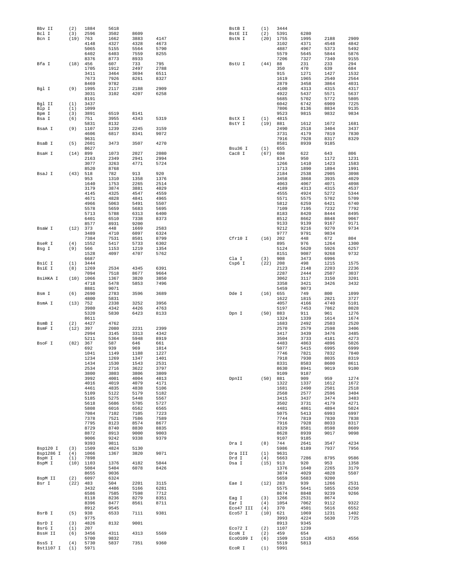| Bby II           | (2)         | 1884         | 5618         |              |              | BstB I            | (1)      | 3444         |              |              |              |
|------------------|-------------|--------------|--------------|--------------|--------------|-------------------|----------|--------------|--------------|--------------|--------------|
| Bcl I<br>Bcn I   | (3)         | 2596         | 3502         | 8609         |              | BstE II           | (2)      | 5391         | 6280         |              | 2909         |
|                  | (19)        | 763<br>4148  | 1662<br>4327 | 3883<br>4328 | 4147<br>4673 | BstN I            | (20)     | 1755<br>3102 | 1995<br>4371 | 2188<br>4548 | 4842         |
|                  |             | 5065         | 5155         | 5564         | 5790         |                   |          | 4887         | 4967         | 5373         | 5492         |
|                  |             | 6402         | 6403         | 7559         | 8255         |                   |          | 5579         | 5645         | 5844         | 5876         |
|                  |             | 8376         | 8773         | 8933         |              |                   |          | 7206         | 7327         | 7340         | 9155         |
| Bfa I            | (18)        | 456          | 607          | 733          | 795          | BstU I            | (44)     | 88           | 231          | 233          | 294          |
|                  |             | 1705         | 1912         | 2497         | 2788         |                   |          | 350          | 470          | 639          | 684          |
|                  |             | 3411         | 3464         | 3694         | 6511         |                   |          | 915          | 1271         | 1427         | 1532         |
|                  |             | 7673         | 7926         | 8261         | 8327         |                   |          | 1619         | 1965         | 2540         | 2564         |
| Bgl I            | (9)         | 8469<br>1995 | 9782<br>2117 | 2188         | 2909         |                   |          | 2879<br>4100 | 3458<br>4313 | 3864<br>4315 | 4031<br>4317 |
|                  |             | 3031         | 3102         | 4207         | 6258         |                   |          | 4922         | 5437         | 5571         | 5637         |
|                  |             | 8191         |              |              |              |                   |          | 5685         | 5702         | 5772         | 5805         |
| Bgl II           | (1)         | 3437         |              |              |              |                   |          | 6042         | 6742         | 6909         | 7225         |
| Blp I            | (1)         | 1099         |              |              |              |                   |          | 7806         | 8136         | 8834         | 9135         |
| Bpm I            | (3)         | 3891         | 6519         | 8141         |              |                   |          | 9523         | 9815         | 9832         | 9834         |
| Bsa I            | (6)         | 751          | 3955         | 4343         | 5319         | BstX I            | (1)      | 4815         |              |              |              |
|                  |             | 5831         | 8132         |              |              | BstY I            | (19)     | 881          | 1612         | 1672         | 1681         |
| BsaA I           | (9)         | 1107<br>4606 | 1239<br>6817 | 2245<br>8341 | 3159<br>9072 |                   |          | 2490<br>3731 | 2518<br>4179 | 3404<br>7819 | 3437<br>7830 |
|                  |             | 9631         |              |              |              |                   |          | 7916         | 7928         | 8317         | 8329         |
| BsaB I           | (5)         | 2601         | 3473         | 3507         | 4270         |                   |          | 8581         | 8939         | 9185         |              |
|                  |             | 8627         |              |              |              | Bsu36 I           | (1)      | 655          |              |              |              |
| BsaH I           | (14)        | 899          | 1073         | 2027         | 2080         | Cac8 I            | (67)     | 608          | 622          | 643          | 806          |
|                  |             | 2163         | 2349         | 2941         | 2994         |                   |          | 834          | 950          | 1172         | 1231         |
|                  |             | 3077         | 3263         | 4771         | 5724         |                   |          | 1266         | 1410         | 1423         | 1583         |
|                  |             | 8520         | 8768         |              |              |                   |          | 1713         | 1890         | 1894         | 1991         |
| BsaJ I           | (43)        | 518          | 782          | 913          | 920          |                   |          | 2184         | 2538         | 2905         | 3098         |
|                  |             | 953          | 1310         | 1358         | 1376         |                   |          | 3458         | 3868         | 3935         | 4029         |
|                  |             | 1640<br>3179 | 1753<br>3874 | 2265<br>3881 | 2514<br>4029 |                   |          | 4063<br>4189 | 4067<br>4313 | 4071<br>4315 | 4098<br>4537 |
|                  |             | 4145         | 4325         | 4547         | 4559         |                   |          | 4555         | 4924         | 5272         | 5344         |
|                  |             | 4671         | 4828         | 4841         | 4965         |                   |          | 5571         | 5575         | 5702         | 5709         |
|                  |             | 4966         | 5063         | 5491         | 5507         |                   |          | 5812         | 6259         | 6421         | 6740         |
|                  |             | 5578         | 5659         | 5683         | 5695         |                   |          | 7109         | 7195         | 7232         | 7792         |
|                  |             | 5713         | 5788         | 6313         | 6400         |                   |          | 8183         | 8420         | 8444         | 8495         |
|                  |             | 6401         | 6510         | 7338         | 8373         |                   |          | 8512         | 8662         | 8848         | 9067         |
|                  |             | 8577         | 8931         | 9200         |              |                   |          | 9133         | 9139         | 9167         | 9171         |
| BsaW I           | (12)        | 373          | 448          | 1669         | 2583         |                   |          | 9212         | 9216         | 9270         | 9734         |
|                  |             | 3489         | 4710         | 6097         | 6324         |                   |          | 9777         | 9791         | 9834         |              |
|                  | (4)         | 7384<br>1552 | 7531<br>5417 | 8501<br>5733 | 8799<br>6302 | Cfr10 I           | (16)     | 202<br>895   | 448<br>976   | 672<br>1264  | 804<br>1300  |
| BseR I<br>Bsg I  | (9)         | 566          | 1153         | 1219         | 1354         |                   |          | 5124         | 5620         | 5926         | 6257         |
|                  |             | 1528         | 4097         | 4707         | 5762         |                   |          | 8151         | 9087         | 9268         | 9732         |
|                  |             | 6687         |              |              |              | Cla I             | (3)      | 908          | 3473         | 6996         |              |
| BsiC I           | (1)         | 3444         |              |              |              | Csp6 I            | (22)     | 208          | 498          | 1215         | 1575         |
| BsiE I           | (8)         | 1269         | 2534         | 4345         | 6391         |                   |          | 2123         | 2148         | 2203         | 2236         |
|                  |             | 7094         | 7518         | 8677         | 9664         |                   |          | 2287         | 2444         | 2507         | 3037         |
| BsiHKA I         | (10)        | 1066         | 1367         | 3820         | 3850         |                   |          | 3062         | 3117         | 3150         | 3201         |
|                  |             | 4718         | 5478         | 5853         | 7496         |                   |          | 3358         | 3421         | 3426         | 3432         |
|                  |             | 8881         | 9071         |              |              |                   |          | 5459         | 9073         |              |              |
| Bsm I            | (6)         | 2690<br>4800 | 2783<br>5831 | 3596         | 3689         | Dde I             | (16) 655 | 1622         | 749<br>1815  | 800<br>2821  | 1099<br>3727 |
| BsmA I           | (13)        | 752          | 2338         | 3252         | 3956         |                   |          | 4057         | 4166         | 4740         | 5101         |
|                  |             | 3980         | 4342         | 4426         | 4763         |                   |          | 5197         | 7453         | 7862         | 8028         |
|                  |             | 5320         | 5830         | 6423         | 8133         | Dpn I             | (50)     | 883          | 911          | 961          | 1276         |
|                  |             | 8611         |              |              |              |                   |          | 1324         | 1339         | 1614         | 1674         |
| BsmB I           | (2)         | 4427         | 4762         |              |              |                   |          | 1683         | 2492         | 2503         | 2520         |
| BsmF I           | (12)        | 397          | 2080         | 2231         | 2399         |                   |          | 2570         | 2579         | 2598         | 3406         |
|                  |             | 2994         | 3145         | 3313         | 4342         |                   |          | 3417         | 3439         | 3476         | 3485         |
|                  |             | 5211         | 5364         | 5948         | 8919         |                   |          | 3504         | 3733         | 4181         | 4273         |
| BsoF I           | (82)        | 367<br>692   | 587<br>939   | 646<br>969   | 661<br>1014  |                   |          | 4483<br>5077 | 4863<br>5415 | 4896<br>6995 | 5026<br>6999 |
|                  |             | 1041         | 1149         | 1188         | 1227         |                   |          | 7746         | 7821         | 7832         | 7840         |
|                  |             | 1234         | 1269         | 1347         | 1401         |                   |          | 7918         | 7930         | 8035         | 8319         |
|                  |             | 1434         | 1530         | 1543         | 2531         |                   |          | 8331         | 8583         | 8600         | 8611         |
|                  |             | 2534         | 2716         | 3622         | 3797         |                   |          | 8630         | 8941         | 9019         | 9100         |
|                  |             | 3800         | 3803         | 3806         | 3809         |                   |          | 9109         | 9187         |              |              |
|                  |             | 3992         | 4001         | 4004         | 4013         | DpnII             | (50)     | 881          | 909          | 959          | 1274         |
|                  |             | 4016<br>4461 | 4019<br>4835 | 4079<br>4838 | 4171<br>5106 |                   |          | 1322<br>1681 | 1337<br>2490 | 1612<br>2501 | 1672<br>2518 |
|                  |             | 5109         | 5122         | 5179         | 5182         |                   |          | 2568         | 2577         | 2596         | 3404         |
|                  |             | 5185         | 5275         | 5448         | 5567         |                   |          | 3415         | 3437         | 3474         | 3483         |
|                  |             | 5618         | 5686         | 5705         | 5727         |                   |          | 3502         | 3731         | 4179         | 4271         |
|                  |             | 5808         | 6016         | 6562         | 6565         |                   |          | 4481         | 4861         | 4894         | 5024         |
|                  |             | 7084         | 7102         | 7105         | 7223         |                   |          | 5075         | 5413         | 6993         | 6997         |
|                  |             | 7378         | 7521         | 7586         | 7589         |                   |          | 7744         | 7819         | 7830         | 7838         |
|                  |             | 7795         | 8123         | 8574         | 8677         |                   |          | 7916         | 7928         | 8033         | 8317         |
|                  |             | 8729         | 8740         | 8830         | 8835         |                   |          | 8329         | 8581         | 8598         | 8609         |
|                  |             | 8872<br>9006 | 8913         | 9000         | 9003         |                   |          | 8628         | 8939         | 9017         | 9098         |
|                  |             | 9393         | 9242<br>9811 | 9338         | 9379         | Dra I             | (8)      | 9107<br>744  | 9185<br>2641 | 3547         | 4234         |
| Bsp120 I         | (3)         | 1509         | 4824         | 5130         |              |                   |          | 5986         | 6189         | 7937         | 7956         |
| Bsp1286 I        | (4)         | 1066         | 1367         | 3820         | 9071         | Dra III           | (1)      | 9631         |              |              |              |
| BspH I           | (1)         | 7898         |              |              |              | Drd I             | (4)      | 5663         | 7286         | 8795         | 9586         |
| BspM I           | (10)        | 1103         | 1376         | 4182         | 5044         | Dsa I             | (15)     | 913          | 920          | 953          | 1358         |
|                  |             | 5084         | 5404         | 6078         | 8426         |                   |          | 1376         | 1640         | 2265         | 3179         |
|                  |             | 8655         | 9036         |              |              |                   |          | 3874         | 4029         | 4828         | 5507         |
| BspM II<br>Bsr I | (2)<br>(22) | 6097<br>483  | 6324<br>504  | 2201         | 3115         | Eae I             | (12)     | 5659<br>283  | 5683<br>939  | 9200<br>1266 | 2531         |
|                  |             | 3432         | 4486         | 5166         | 6281         |                   |          | 5575         | 5641         | 5855         | 6250         |
|                  |             | 6586         | 7585         | 7598         | 7712         |                   |          | 8674         | 8848         | 9239         | 9266         |
|                  |             | 8118         | 8236         | 8279         | 8351         | Eag I             | (3)      | 1266         | 2531         | 8674         |              |
|                  |             | 8396         | 8477         | 8561         | 8711         | Ear I             | (4)      | 1054         | 7062         | 9112         | 9322         |
|                  |             | 8912         | 9545         |              |              | Eco47 III         | (4)      | 370          | 4501         | 5616         | 6552         |
| BsrB I           | (5)         | 938          | 6533         | 7111         | 9381         | Eco57 I           | (10)     | 621          | 1069         | 1231         | 1402         |
|                  |             | 9775         |              |              |              |                   |          | 3993         | 4224         | 5630         | 7725         |
|                  |             |              |              |              |              |                   |          |              |              |              |              |
| BsrD I           | (3)         | 4826         | 8132         | 9001         |              |                   |          | 8913         | 9345         |              |              |
| BsrG I           | (1)         | 207          |              |              |              | Eco72 I           | (2)      | 1107         | 1239         |              |              |
| BssH II          | (6)         | 3456         | 4311         | 4313         | 5569         | $E\mathrm{coN}$ I | (2)      | 459          | 654          |              |              |
| BssS I           | (4)         | 5700<br>5730 | 9832<br>5837 | 7351         | 9360         | Eco0109 I         | (6)      | 1509<br>5519 | 1510<br>5813 | 4353         | 4556         |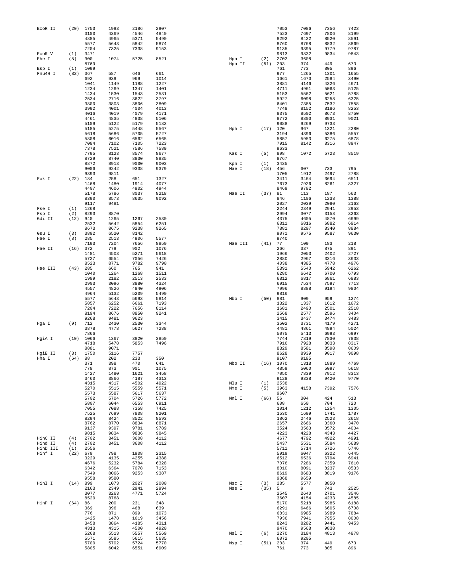| ECOR II  | (20) | 1753         | 1993         | 2186         | 2907         |        |         |      | 7053         | 7086         | 7356         | 7423         |
|----------|------|--------------|--------------|--------------|--------------|--------|---------|------|--------------|--------------|--------------|--------------|
|          |      | 3100         | 4369         | 4546         | 4840         |        |         |      | 7523         | 7697         | 7806         | 8199         |
|          |      | 4885         | 4965         | 5371         | 5490         |        |         |      | 8292         | 8422         | 8520         | 8591         |
|          |      | 5577<br>7204 | 5643<br>7325 | 5842<br>7338 | 5874<br>9153 |        |         |      | 8760<br>9135 | 8768<br>9395 | 8832<br>9779 | 8869<br>9787 |
| ECOR V   | (1)  | 3471         |              |              |              |        |         |      | 9813         | 9832         | 9834         | 9843         |
| Ehe I    | (5)  | 900          | 1074         | 5725         | 8521         | Hpa I  |         | (2)  | 2702         | 3608         |              |              |
|          |      | 8769         |              |              |              | Hpa II |         | (51) | 203          | 374          | 449          | 673          |
| Esp I    | (1)  | 1099         |              |              |              |        |         |      | 761          | 773          | 805          | 896          |
| Fnu4H I  | (82) | 367          | 587          | 646          | 661          |        |         |      | 977          | 1265         | 1301         | 1655         |
|          |      | 692<br>1041  | 939<br>1149  | 969<br>1188  | 1014<br>1227 |        |         |      | 1661<br>3881 | 1670<br>4146 | 2584<br>4326 | 3490<br>4671 |
|          |      | 1234         | 1269         | 1347         | 1401         |        |         |      | 4711         | 4961         | 5063         | 5125         |
|          |      | 1434         | 1530         | 1543         | 2531         |        |         |      | 5153         | 5562         | 5621         | 5788         |
|          |      | 2534         | 2716         | 3622         | 3797         |        |         |      | 5927         | 6098         | 6258         | 6325         |
|          |      | 3800         | 3803         | 3806         | 3809         |        |         |      | 6401         | 7385         | 7532         | 7558         |
|          |      | 3992         | 4001         | 4004         | 4013         |        |         |      | 7748         | 8152         | 8186         | 8253         |
|          |      | 4016         | 4019         | 4079         | 4171         |        |         |      | 8375         | 8502         | 8673         | 8750         |
|          |      | 4461         | 4835         | 4838         | 5106         |        |         |      | 8772         | 8800         | 8931         | 9021         |
|          |      | 5109<br>5185 | 5122         | 5179<br>5448 | 5182<br>5567 |        |         |      | 9088         | 9269         | 9733<br>1321 | 2280         |
|          |      | 5618         | 5275<br>5686 | 5705         | 5727         | Hph I  |         | (17) | 120<br>3194  | 967<br>4396  | 5386         | 5557         |
|          |      | 5808         | 6016         | 6562         | 6565         |        |         |      | 5857         | 5953         | 6275         | 6878         |
|          |      | 7084         | 7102         | 7105         | 7223         |        |         |      | 7915         | 8142         | 8316         | 8947         |
|          |      | 7378         | 7521         | 7586         | 7589         |        |         |      | 9633         |              |              |              |
|          |      | 7795         | 8123         | 8574         | 8677         | Kas I  |         | (5)  | 898          | 1072         | 5723         | 8519         |
|          |      | 8729         | 8740         | 8830         | 8835         |        |         |      | 8767         |              |              |              |
|          |      | 8872         | 8913         | 9000         | 9003         | Kpn I  |         | (1)  | 3435         |              |              |              |
|          |      | 9006         | 9242         | 9338         | 9379         | Mae I  |         | (18) | 456          | 607          | 733          | 795          |
| Fok I    | (22) | 9393<br>184  | 9811<br>258  | 651          | 1327         |        |         |      | 1705<br>3411 | 1912<br>3464 | 2497<br>3694 | 2788<br>6511 |
|          |      | 1468         | 1480         | 1914         | 4077         |        |         |      | 7673         | 7926         | 8261         | 8327         |
|          |      | 4407         | 4606         | 4902         | 4944         |        |         |      | 8469         | 9782         |              |              |
|          |      | 5178         | 5786         | 8037         | 8218         | Mae II |         | (37) | 81           | 113          | 187          | 563          |
|          |      | 8390         | 8573         | 8635         | 9092         |        |         |      | 846          | 1106         | 1238         | 1388         |
|          |      | 9117         | 9481         |              |              |        |         |      | 2027         | 2039         | 2080         | 2163         |
| Fse I    | (1)  | 1268         |              |              |              |        |         |      | 2244         | 2349         | 2941         | 2953         |
| Fsp I    | (2)  | 8293         | 8870         |              |              |        |         |      | 2994         | 3077         | 3158         | 3263         |
| Gdi II   | (12) | 940          | 1265         | 1267         | 2530         |        |         |      | 4375         | 4605         | 4870         | 6699         |
|          |      | 2532<br>8673 | 5642<br>8675 | 5854<br>9238 | 6251<br>9265 |        |         |      | 6811<br>7881 | 6816<br>8297 | 6882<br>8340 | 6914<br>8884 |
| Gsu I    | (3)  | 3892         | 6520         | 8142         |              |        |         |      | 9071         | 9575         | 9587         | 9630         |
| Hae I    | (8)  | 285          | 2513         | 4906         | 5577         |        |         |      | 9740         |              |              |              |
|          |      | 7193         | 7204         | 7656         | 8850         |        | Mae III | (41) | 77           | 109          | 183          | 218          |
| Hae II   | (16) | 372          | 779          | 902          | 1076         |        |         |      | 266          | 337          | 875          | 891          |
|          |      | 1481         | 4503         | 5271         | 5618         |        |         |      | 1966         | 2053         | 2402         | 2727         |
|          |      | 5727         | 6554         | 7056         | 7426         |        |         |      | 2880         | 2967         | 3316         | 3633         |
|          |      | 8523         | 8771         | 9782         | 9790         |        |         |      | 4038         | 4385         | 4778         | 4976         |
| Hae III  | (43) | 285          | 660          | 765          | 941          |        |         |      | 5391         | 5540         | 5942         | 6262         |
|          |      | 1040<br>1989 | 1264<br>2182 | 1268<br>2513 | 1511<br>2533 |        |         |      | 6280<br>6812 | 6642<br>6817 | 6700<br>6861 | 6793<br>6883 |
|          |      | 2903         | 3096         | 3880         | 4324         |        |         |      | 6915         | 7534         | 7597         | 7713         |
|          |      | 4557         | 4826         | 4840         | 4906         |        |         |      | 7996         | 8888         | 9194         | 9804         |
|          |      | 4964         | 5132         | 5209         | 5490         |        |         |      | 9816         |              |              |              |
|          |      | 5577         | 5643         | 5693         | 5814         | Mbo I  |         | (50) | 881          | 909          | 959          | 1274         |
|          |      | 5857         | 6252         | 6661         | 7193         |        |         |      | 1322         | 1337         | 1612         | 1672         |
|          |      | 7204         | 7222         | 7656         | 8114         |        |         |      | 1681         | 2490         | 2501         | 2518         |
|          |      | 8194         | 8676         | 8850         | 9241         |        |         |      | 2568         | 2577         | 2596         | 3404         |
| Hqa I    | (9)  | 9268<br>712  | 9481<br>2430 | 9623<br>2530 | 3344         |        |         |      | 3415<br>3502 | 3437<br>3731 | 3474<br>4179 | 3483<br>4271 |
|          |      | 3878         | 4778         | 5627         | 7288         |        |         |      | 4481         | 4861         | 4894         | 5024         |
|          |      | 7866         |              |              |              |        |         |      | 5075         | 5413         | 6993         | 6997         |
| HgiA I   | (10) | 1066         | 1367         | 3820         | 3850         |        |         |      | 7744         | 7819         | 7830         | 7838         |
|          |      | 4718         | 5478         | 5853         | 7496         |        |         |      | 7916         | 7928         | 8033         | 8317         |
|          |      | 8881         | 9071         |              |              |        |         |      | 8329         | 8581         | 8598         | 8609         |
| HgiE II  | (3)  | 1750         | 5116         | 7757         |              |        |         |      | 8628         | 8939         | 9017         | 9098         |
| Hha I    | (64) | 88           | 202          | 233          | 350          |        |         |      | 9107         | 9185         |              |              |
|          |      | 371<br>778   | 398<br>873   | 470<br>901   | 641<br>1075  | Mbo II |         | (16) | 1070<br>4859 | 1318<br>5060 | 1889<br>5097 | 4769<br>5618 |
|          |      | 1427         | 1480         | 1621         | 3458         |        |         |      | 7050         | 7839         | 7912         | 8313         |
|          |      | 3460         | 3866         | 4187         | 4313         |        |         |      | 9128         | 9338         | 9420         | 9770         |
|          |      | 4315         | 4317         | 4502         | 4922         | Mlu I  |         | (1)  | 2538         |              |              |              |
|          |      | 5270         | 5515         | 5559         | 5571         | Mme I  |         | (5)  | 3963         | 4158         | 7392         | 7576         |
|          |      | 5573         | 5587         | 5617         | 5637         |        |         |      | 9607         |              |              |              |
|          |      | 5702         | 5704         | 5726         | 5772         | Mnl I  |         | (66) | 56           | 304          | 424          | 513          |
|          |      | 5807<br>7055 | 6044<br>7088 | 6553<br>7358 | 6911<br>7425 |        |         |      | 608<br>1014  | 650<br>1212  | 704<br>1254  | 720<br>1305  |
|          |      | 7525         | 7699         | 7808         | 8201         |        |         |      | 1530         | 1699         | 1741         | 1787         |
|          |      | 8294         | 8424         | 8522         | 8593         |        |         |      | 1862         | 2446         | 2523         | 2618         |
|          |      | 8762         | 8770         | 8834         | 8871         |        |         |      | 2657         | 2666         | 3360         | 3470         |
|          |      | 9137         | 9397         | 9781         | 9789         |        |         |      | 3524         | 3563         | 3572         | 4004         |
|          |      | 9815         | 9834         | 9836         | 9845         |        |         |      | 4223         | 4228         | 4343         | 4427         |
| HinC II  | (4)  | 2702         | 3451         | 3608         | 4112         |        |         |      | 4677         | 4792         | 4922         | 4991         |
| Hind II  | (4)  | 2702         | 3451         | 3608         | 4112         |        |         |      | 5437         | 5531         | 5584         | 5689         |
| HinD III | (1)  | 2556         |              |              |              |        |         |      | 5711         | 5714         | 5726         | 5746         |
| Hinf I   | (22) | 679<br>3229  | 798<br>4135  | 1908<br>4255 | 2315<br>4388 |        |         |      | 5919<br>6512 | 6047<br>6536 | 6322<br>6794 | 6445<br>6941 |
|          |      | 4676         | 5232         | 5784         | 6328         |        |         |      | 7076         | 7286         | 7359         | 7610         |
|          |      | 6342         | 6364         | 7078         | 7153         |        |         |      | 8010         | 8091         | 8237         | 8533         |
|          |      | 7549         | 8066         | 9253         | 9387         |        |         |      | 8619         | 8683         | 8819         | 9176         |
|          |      | 9558         | 9580         |              |              |        |         |      | 9368         | 9659         |              |              |
| HinI I   | (14) | 899          | 1073         | 2027         | 2080         | Msc I  |         | (3)  | 285          | 5577         | 8850         |              |
|          |      | 2163         | 2349         | 2941         | 2994         | Mse I  |         | (35) | 5            | 9            | 743          | 2525         |
|          |      | 3077         | 3263         | 4771         | 5724         |        |         |      | 2545         | 2640         | 2701         | 3546         |
|          |      | 8520         | 8768         |              | 348          |        |         |      | 3607         | 4154         | 4233         | 4585         |
| HinP I   | (64) | 86<br>369    | 200<br>396   | 231<br>468   | 639          |        |         |      | 5170<br>6291 | 5218<br>6466 | 5985<br>6605 | 6188<br>6708 |
|          |      | 776          | 871          | 899          | 1073         |        |         |      | 6831         | 6985         | 6989         | 7884         |
|          |      | 1425         | 1478         | 1619         | 3456         |        |         |      | 7936         | 7941         | 7955         | 8008         |
|          |      | 3458         | 3864         | 4185         | 4311         |        |         |      | 8243         | 8282         | 9441         | 9453         |
|          |      | 4313         | 4315         | 4500         | 4920         |        |         |      | 9470         | 9568         | 9838         |              |
|          |      | 5268         | 5513         | 5557         | 5569         | Msl I  |         | (6)  | 2270         | 3184         | 4813         | 4878         |
|          |      | 5571         | 5585         | 5615         | 5635         |        |         |      | 6072         | 9205         |              |              |
|          |      | 5700         | 5702         | 5724<br>6551 | 5770<br>6909 | Msp I  |         | (51) | 203<br>761   | 374<br>773   | 449<br>805   | 673<br>896   |
|          |      | 5805         | 6042         |              |              |        |         |      |              |              |              |              |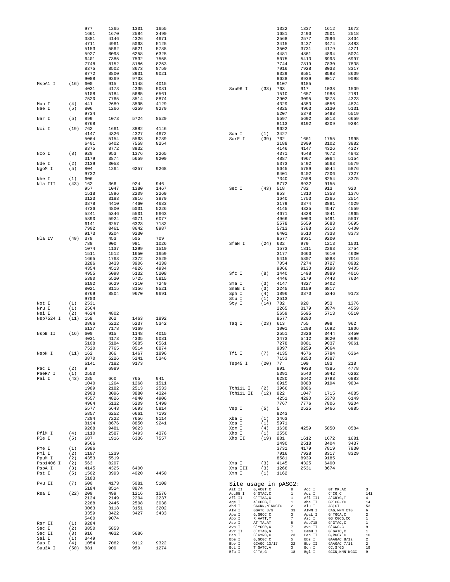|                     |             | 977<br>1661  | 1265<br>1670 | 1301<br>2584 | 1655<br>3490 |                      |                                                  | 1322<br>1681 |                               | 1337<br>2490     | 1612<br>2501                    | 1672<br>2518    |                      |
|---------------------|-------------|--------------|--------------|--------------|--------------|----------------------|--------------------------------------------------|--------------|-------------------------------|------------------|---------------------------------|-----------------|----------------------|
|                     |             | 3881         | 4146         | 4326         | 4671         |                      |                                                  | 2568         |                               | 2577             | 2596                            | 3404            |                      |
|                     |             | 4711         | 4961         | 5063         | 5125         |                      |                                                  | 3415         |                               | 3437             | 3474                            | 3483            |                      |
|                     |             | 5153         | 5562         | 5621         | 5788         |                      |                                                  | 3502         |                               | 3731             | 4179                            | 4271            |                      |
|                     |             | 5927<br>6401 | 6098<br>7385 | 6258<br>7532 | 6325<br>7558 |                      |                                                  | 4481<br>5075 |                               | 4861<br>5413     | 4894<br>6993                    | 5024<br>6997    |                      |
|                     |             | 7748         | 8152         | 8186         | 8253         |                      |                                                  | 7744         |                               | 7819             | 7830                            | 7838            |                      |
|                     |             | 8375         | 8502         | 8673         | 8750         |                      |                                                  | 7916         |                               | 7928             | 8033                            | 8317            |                      |
|                     |             | 8772<br>9088 | 8800<br>9269 | 8931<br>9733 | 9021         |                      |                                                  | 8329<br>8628 |                               | 8581<br>8939     | 8598<br>9017                    | 8609<br>9098    |                      |
| MspA1 I             | (16)        | 600          | 915          | 1148         | 4015         |                      |                                                  | 9107         |                               | 9185             |                                 |                 |                      |
|                     |             | 4031         | 4173         | 4335         | 5081         | Sau96 I              | (33)                                             | 763          |                               | 917              | 1038                            | 1509            |                      |
|                     |             | 5108<br>7520 | 5184<br>7765 | 5685<br>8514 | 6561<br>8874 |                      |                                                  | 1510<br>2902 |                               | 1657<br>3095     | 1988<br>3878                    | 2181<br>4323    |                      |
| Mun I               | (4)         | 441          | 2689         | 3595         | 4129         |                      |                                                  | 4329         |                               | 4353             | 4556                            | 4824            |                      |
| Nae I               | (5)         | 806          | 1266         | 6259         | 9270         |                      |                                                  | 4825         |                               | 4963             | 5130                            | 5131            |                      |
|                     |             | 9734<br>899  |              | 5724         | 8520         |                      |                                                  | 5207<br>5597 |                               | 5378             | 5488                            | 5519<br>6659    |                      |
| Nar I               | (5)         | 8768         | 1073         |              |              |                      |                                                  | 8113         |                               | 5692<br>8192     | 5813<br>8209                    | 9284            |                      |
| Nci I               | (19)        | 762          | 1661         | 3882         | 4146         |                      |                                                  | 9622         |                               |                  |                                 |                 |                      |
|                     |             | 4147         | 4326         | 4327         | 4672         | Sca I                | (1)                                              | 3427         |                               |                  |                                 |                 |                      |
|                     |             | 5064<br>6401 | 5154<br>6402 | 5563<br>7558 | 5789<br>8254 | ScrF I               | (39)                                             | 762<br>2188  |                               | 1661<br>2909     | 1755<br>3102                    | 1995<br>3882    |                      |
|                     |             | 8375         | 8772         | 8932         |              |                      |                                                  | 4146         |                               | 4147             | 4326                            | 4327            |                      |
| Nco I               | (8)         | 920          | 953          | 1376         | 2265         |                      |                                                  | 4371         |                               | 4548             | 4672                            | 4842            |                      |
| Nde I               | (2)         | 3179<br>2139 | 3874<br>3053 | 5659         | 9200         |                      |                                                  | 4887<br>5373 |                               | 4967<br>5492     | 5064<br>5563                    | 5154<br>5579    |                      |
| NgoM I              | (5)         | 804          | 1264         | 6257         | 9268         |                      |                                                  | 5645         |                               | 5789             | 5844                            | 5876            |                      |
|                     |             | 9732         |              |              |              |                      |                                                  | 6401         |                               | 6402             | 7206                            | 7327            |                      |
| Nhe I<br>Nla III    | (1)<br>(43) | 606<br>162   | 366          | 924          | 946          |                      |                                                  | 7340<br>8772 |                               | 7558<br>8932     | 8254<br>9155                    | 8375            |                      |
|                     |             | 957          | 1047         | 1380         | 1467         | Sec I                | (43)                                             | 518          |                               | 782              | 913                             | 920             |                      |
|                     |             | 1518         | 1896         | 2209         | 2269         |                      |                                                  | 953          |                               | 1310             | 1358                            | 1376            |                      |
|                     |             | 3123<br>3878 | 3183<br>4410 | 3816<br>4460 | 3870<br>4683 |                      |                                                  | 1640<br>3179 |                               | 1753<br>3874     | 2265<br>3881                    | 2514<br>4029    |                      |
|                     |             | 4736         | 4800         | 5031         | 5226         |                      |                                                  | 4145         |                               | 4325             | 4547                            | 4559            |                      |
|                     |             | 5241         | 5346         | 5501         | 5663         |                      |                                                  | 4671         |                               | 4828             | 4841                            | 4965            |                      |
|                     |             | 5890         | 5924         | 6071         | 6077         |                      |                                                  | 4966         |                               | 5063             | 5491                            | 5507            |                      |
|                     |             | 6141<br>7902 | 6257<br>8461 | 6323<br>8642 | 7182<br>8987 |                      |                                                  | 5578<br>5713 |                               | 5659<br>5788     | 5683<br>6313                    | 5695<br>6400    |                      |
|                     |             | 9173         | 9204         | 9230         |              |                      |                                                  | 6401         |                               | 6510             | 7338                            | 8373            |                      |
| Nla IV              | (49)        | 378          | 453          | 505          | 709          |                      |                                                  | 8577         |                               | 8931             | 9200                            |                 |                      |
|                     |             | 788<br>1074  | 900<br>1137  | 981<br>1299  | 1026<br>1510 | SfaN I               | (24)                                             | 632<br>1573  |                               | 979<br>1811      | 1213<br>2263                    | 1501<br>2754    |                      |
|                     |             | 1511         | 1512         | 1650         | 1659         |                      |                                                  | 3177         |                               | 3660             | 4610                            | 4630            |                      |
|                     |             | 1665         | 1763         | 2372         | 2520         |                      |                                                  | 5415         |                               | 5807             | 5888                            | 7016            |                      |
|                     |             | 3286<br>4354 | 3433<br>4513 | 3906<br>4826 | 4330<br>4934 |                      |                                                  | 7054<br>9066 |                               | 7274<br>9130     | 8727<br>9198                    | 8982<br>9405    |                      |
|                     |             | 4955         | 5098         | 5132         | 5208         | Sfc I                | (8)                                              | 1440         |                               | 1498             | 3989                            | 4016            |                      |
|                     |             | 5380         | 5520         | 5725         | 5815         |                      |                                                  | 4446         |                               | 5179             | 7443                            | 7634            |                      |
|                     |             | 6102<br>8021 | 6629<br>8115 | 7210<br>8156 | 7249<br>8521 | Sma I<br>SnaB I      | (3)<br>(3)                                       | 4147<br>2245 |                               | 4327<br>3159     | 6402<br>6817                    |                 |                      |
|                     |             | 8769         | 8804         | 9670         | 9691         | Sph I                | (4)                                              | 1896         |                               | 3870             | 5346                            | 9173            |                      |
|                     |             | 9703         |              |              |              | Stu I                | (1)                                              | 2513         |                               |                  |                                 |                 |                      |
| Not I<br>Nru I      | (1)<br>(1)  | 2531<br>2564 |              |              |              | Sty I                | (14)                                             | 782<br>2265  |                               | 920<br>3179      | 953<br>3874                     | 1376<br>4559    |                      |
| Nsi I               | (2)         | 4624         | 4802         |              |              |                      |                                                  | 5659         |                               | 5695             | 5713                            | 6510            |                      |
| Nsp7524 I           | (11)        | 158          | 362          | 1463         | 1892         |                      |                                                  | 8577         |                               | 9200             |                                 |                 |                      |
|                     |             | 3866<br>6137 | 5222<br>7178 | 5237<br>9169 | 5342         | Taq I                | (23)                                             | 613<br>1001  |                               | 755<br>1208      | 908<br>1692                     | 962<br>1906     |                      |
| NspB II             | (16)        | 600          | 915          | 1148         | 4015         |                      |                                                  | 2551         |                               | 2826             | 3444                            | 3450            |                      |
|                     |             | 4031         | 4173         | 4335         | 5081         |                      |                                                  | 3473         |                               | 5412             | 6620                            | 6996            |                      |
|                     |             | 5108<br>7520 | 5184<br>7765 | 5685<br>8514 | 6561<br>8874 |                      |                                                  | 7278<br>9097 |                               | 8881<br>9259     | 9037<br>9664                    | 9061            |                      |
| NspH I              | (11)        | 162          | 366          | 1467         | 1896         | Tfi I                | (7)                                              | 4135         |                               | 4676             | 5784                            | 6364            |                      |
|                     |             | 3870         | 5226         | 5241         | 5346         |                      |                                                  | 7153         |                               | 9253             | 9387                            |                 |                      |
| Pac I               | (2)         | 6141<br>9    | 7182<br>6989 | 9173         |              | Tsp45 I              | (20)                                             | 77<br>891    |                               | 109<br>4038      | 183<br>4385                     | 218<br>4778     |                      |
| PaeR7 I             | (1)         | 2550         |              |              |              |                      |                                                  | 5391         |                               | 5540             | 5942                            | 6262            |                      |
| Pal I               | (43)        | 285          | 660          | 765          | 941          |                      |                                                  | 6280         |                               | 6642             | 6793                            | 6883            |                      |
|                     |             | 1040<br>1989 | 1264<br>2182 | 1268<br>2513 | 1511<br>2533 | Tth111 I             | (2)                                              | 6915<br>3966 |                               | 8888<br>8886     | 9194                            | 9804            |                      |
|                     |             | 2903         | 3096         | 3880         | 4324         | Tth111 II            | (12)                                             | 822          |                               | 1047             | 1715                            | 4085            |                      |
|                     |             | 4557         | 4826         | 4840         | 4906         |                      |                                                  | 4251         |                               | 4290             | 5378                            | 6149            |                      |
|                     |             | 4964<br>5577 | 5132<br>5643 | 5209<br>5693 | 5490<br>5814 | Vsp I                | (5)                                              | 7767<br>5    |                               | 7776<br>2525     | 7806<br>6466                    | 9204<br>6985    |                      |
|                     |             | 5857         | 6252         | 6661         | 7193         |                      |                                                  | 8243         |                               |                  |                                 |                 |                      |
|                     |             | 7204         | 7222         | 7656         | 8114         | Xba I                | (1)                                              | 3463         |                               |                  |                                 |                 |                      |
|                     |             | 8194<br>9268 | 8676<br>9481 | 8850<br>9623 | 9241         | Xca I<br>Xcm I       | (1)<br>(4)                                       | 5971<br>1638 |                               | 4259             | 5850                            | 8584            |                      |
| PflM I              | (4)         | 1110         | 2587         | 3493         | 4376         | Xho I                | (1)                                              | 2550         |                               |                  |                                 |                 |                      |
| Ple I               | (5)         | 687          | 1916         | 6336         | 7557         | Xho II               | (19)                                             | 881          |                               | 1612             | 1672                            | 1681            |                      |
| Pme I               | (1)         | 9566<br>5986 |              |              |              |                      |                                                  | 2490<br>3731 |                               | 2518<br>4179     | 3404<br>7819                    | 3437<br>7830    |                      |
| Pml I               | (2)         | 1107         | 1239         |              |              |                      |                                                  | 7916         |                               | 7928             | 8317                            | 8329            |                      |
| PpuM I              | (2)         | 4353         | 5519         |              |              |                      |                                                  | 8581         |                               | 8939             | 9185                            |                 |                      |
| Psp1406 I<br>PspA I | (2)<br>(3)  | 563<br>4145  | 8297<br>4325 | 6400         |              | Xma I<br>Xma III     | (3)<br>(3)                                       | 4145<br>1266 |                               | 4325<br>2531     | 6400<br>8674                    |                 |                      |
| Pst I               | (5)         | 1502         | 3993         | 4020         | 4450         | Xmn I                | (1)                                              | 1162         |                               |                  |                                 |                 |                      |
|                     |             | 5183         |              |              |              |                      |                                                  |              |                               |                  |                                 |                 |                      |
| Pvu II              | (7)         | 600<br>5184  | 4173<br>8514 | 5081<br>8874 | 5108         | Site usage in pASG2: |                                                  |              |                               |                  |                                 |                 |                      |
| Rsa I               | (22)        | 209          | 499          | 1216         | 1576         | Aat II<br>Acc65 I    | $G$ , $\mathsf{ACGT} \, \hat{\,} C$<br>G`GTAC, C |              | 8<br>$1\,$                    | Acc I<br>Aci I   | GT `MK, AC<br>$C^{\wedge}CG, C$ |                 | 3<br>141             |
|                     |             | 2124         | 2149         | 2204         | 2237         | Afl II               | C`TTAA, G                                        |              | 1                             | Afl III          | A`CRYG, T                       |                 | $\overline{4}$       |
|                     |             | 2288         | 2445         | 2508         | 3038         | Age I<br>Ahd I       | A`CCGG, T<br>GACNN, N`NNGTC                      |              | 1<br>2                        | Aha II<br>Alu I  | GR `CG, YC<br>AG CT             |                 | 14<br>53             |
|                     |             | 3063<br>3359 | 3118<br>3422 | 3151<br>3427 | 3202<br>3433 | Alw I<br>Apa I       | GGATC 8/9<br>G, GGCC `C                          |              | 33<br>$\overline{\mathbf{3}}$ | AlwN I<br>ApaL I | CAG, NNN `CTG<br>G`TGCA, C      |                 | 6<br>$\,2$           |
|                     |             | 5460         | 9074         |              |              | Apo I                | R`AATT, Y                                        |              | $7\phantom{.0}$               | Asc I            | GG'CGCG, CC                     |                 | 1                    |
| Rsr II<br>Sac I     | (1)<br>(2)  | 9284<br>3850 | 5853         |              |              | Ase I<br>Ava I       | AT`TA, AT<br>C`YCGR, G                           |              | 5<br>$7\phantom{.0}$          | Asp718<br>Ava II | G`GTAC, C<br>G`GWC, C           |                 | $\mathbf{1}$<br>9    |
| Sac II              | (3)         | 916          | 4032         | 5686         |              | Avr II               | C`CTAG, G                                        |              | $1\,$                         | BamH I           | G`GATC, C                       |                 | $\mathbf 1$          |
| Sal I               | (1)         | 3449         |              |              |              | Ban I<br>Bbe I       | G`GYRC, C<br>G, GCGC `C                          |              | 23<br>5                       | Ban II<br>Bbs I  | G, RGCY `C<br>GAAGAC 8/12       |                 | 10<br>$\overline{c}$ |
| Sap I<br>Sau3A I    | (4)<br>(50) | 1054<br>881  | 7062<br>909  | 9112<br>959  | 9322<br>1274 | Bbv I<br>Bcl I       | GCAGC 13/17<br>T`GATC, A                         |              | 22<br>$\overline{\mathbf{3}}$ | Bbv II<br>Bcn I  | GAAGAC 7/11<br>$CC, S \hat{G}$  |                 | 2<br>19              |
|                     |             |              |              |              |              | Bfa I                | $C$ TA, G                                        |              | $18\,$                        | Bgl I            |                                 | GCCN, NNN 'NGGC | 9                    |